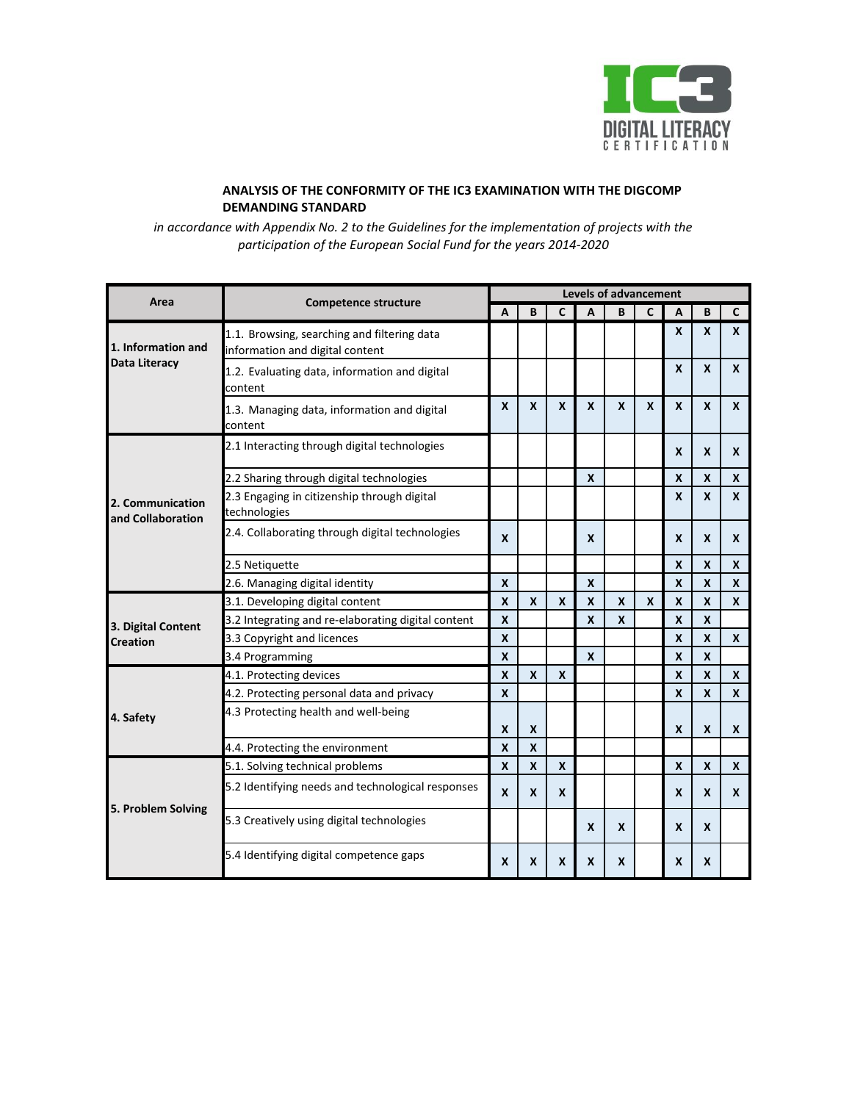

## **ANALYSIS OF THE CONFORMITY OF THE IC3 EXAMINATION WITH THE DIGCOMP DEMANDING STANDARD**

*in accordance with Appendix No. 2 to the Guidelines for the implementation of projects with the participation of the European Social Fund for the years 2014-2020*

| Area                                  | <b>Competence structure</b>                                                    | <b>Levels of advancement</b> |                           |                  |                  |                  |              |                  |                  |              |
|---------------------------------------|--------------------------------------------------------------------------------|------------------------------|---------------------------|------------------|------------------|------------------|--------------|------------------|------------------|--------------|
|                                       |                                                                                | A                            | B                         | C                | A                | B                | $\mathbf{C}$ | A                | B                | C            |
| 1. Information and<br>Data Literacy   | 1.1. Browsing, searching and filtering data<br>information and digital content |                              |                           |                  |                  |                  |              | X                | $\boldsymbol{x}$ | X            |
|                                       | 1.2. Evaluating data, information and digital<br>content                       |                              |                           |                  |                  |                  |              | X                | $\mathbf{x}$     | $\mathbf{x}$ |
|                                       | 1.3. Managing data, information and digital<br>content                         | X                            | X                         | X                | X                | $\mathsf{x}$     | X            | X                | X                | X            |
| 2. Communication<br>and Collaboration | 2.1 Interacting through digital technologies                                   |                              |                           |                  |                  |                  |              | X                | $\boldsymbol{x}$ | X            |
|                                       | 2.2 Sharing through digital technologies                                       |                              |                           |                  | X                |                  |              | X                | X                | X            |
|                                       | 2.3 Engaging in citizenship through digital<br>technologies                    |                              |                           |                  |                  |                  |              | X                | $\boldsymbol{x}$ | X            |
|                                       | 2.4. Collaborating through digital technologies                                | $\mathbf{x}$                 |                           |                  | $\mathbf{x}$     |                  |              | X                | $\boldsymbol{x}$ | X            |
|                                       | 2.5 Netiquette                                                                 |                              |                           |                  |                  |                  |              | X                | X                | X            |
|                                       | 2.6. Managing digital identity                                                 | X                            |                           |                  | X                |                  |              | X                | X                | X            |
| 3. Digital Content<br><b>Creation</b> | 3.1. Developing digital content                                                | X                            | X                         | $\boldsymbol{x}$ | $\boldsymbol{x}$ | $\boldsymbol{x}$ | X            | X                | X                | X            |
|                                       | 3.2 Integrating and re-elaborating digital content                             | X                            |                           |                  | $\mathbf{x}$     | X                |              | $\boldsymbol{x}$ | $\mathbf{x}$     |              |
|                                       | 3.3 Copyright and licences                                                     | X                            |                           |                  |                  |                  |              | X                | X                | X            |
|                                       | 3.4 Programming                                                                | X                            |                           |                  | X                |                  |              | X                | $\boldsymbol{x}$ |              |
| 4. Safety                             | 4.1. Protecting devices                                                        | $\mathbf{x}$                 | $\boldsymbol{\mathsf{x}}$ | X                |                  |                  |              | X                | $\mathbf{x}$     | X            |
|                                       | 4.2. Protecting personal data and privacy                                      | $\mathbf{x}$                 |                           |                  |                  |                  |              | $\boldsymbol{x}$ | $\mathbf{x}$     | X            |
|                                       | 4.3 Protecting health and well-being                                           |                              |                           |                  |                  |                  |              |                  |                  |              |
|                                       |                                                                                | X                            | X                         |                  |                  |                  |              | X                | $\boldsymbol{x}$ | X            |
|                                       | 4.4. Protecting the environment                                                | X                            | X                         |                  |                  |                  |              |                  |                  |              |
| 5. Problem Solving                    | 5.1. Solving technical problems                                                | $\mathbf{x}$                 | $\boldsymbol{\mathsf{x}}$ | $\boldsymbol{x}$ |                  |                  |              | X                | $\boldsymbol{x}$ | X            |
|                                       | 5.2 Identifying needs and technological responses                              | $\boldsymbol{x}$             | X                         | X                |                  |                  |              | X                | X                | X            |
|                                       | 5.3 Creatively using digital technologies                                      |                              |                           |                  | $\boldsymbol{x}$ | X                |              | X                | X                |              |
|                                       | 5.4 Identifying digital competence gaps                                        | X                            | X                         | X                | X                | X                |              | X                | X                |              |